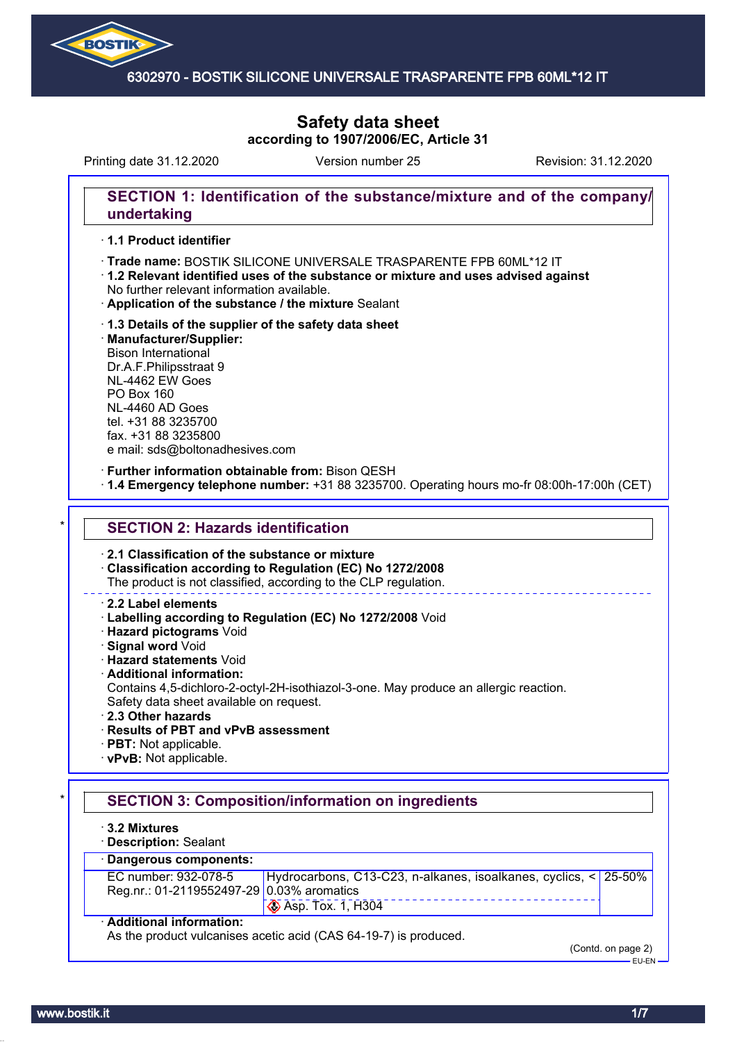

# **Safety data sheet according to 1907/2006/EC, Article 31**

Printing date 31.12.2020 Version number 25 Revision: 31.12.2020

### **SECTION 1: Identification of the substance/mixture and of the company/ undertaking**

### · **1.1 Product identifier**

· **Trade name: Silicone Universal** BOSTIK SILICONE UNIVERSALE TRASPARENTE FPB 60ML\*12 IT

- · **1.2 Relevant identified uses of the substance or mixture and uses advised against** No further relevant information available.
- · **Application of the substance / the mixture** Sealant
- · **1.3 Details of the supplier of the safety data sheet** · **Manufacturer/Supplier:** Bison International Dr.A.F.Philipsstraat 9 NL-4462 EW Goes PO Box 160 NL-4460 AD Goes tel. +31 88 3235700 fax. +31 88 3235800 e mail: sds@boltonadhesives.com

#### · **Further information obtainable from:** Bison QESH

· **1.4 Emergency telephone number:** +31 88 3235700. Operating hours mo-fr 08:00h-17:00h (CET)

#### **SECTION 2: Hazards identification**

· **2.1 Classification of the substance or mixture**

· **Classification according to Regulation (EC) No 1272/2008**

The product is not classified, according to the CLP regulation.

#### · **2.2 Label elements**

- · **Labelling according to Regulation (EC) No 1272/2008** Void
- · **Hazard pictograms** Void
- · **Signal word** Void
- · **Hazard statements** Void
- · **Additional information:**
- Contains 4,5-dichloro-2-octyl-2H-isothiazol-3-one. May produce an allergic reaction. Safety data sheet available on request.
- · **2.3 Other hazards**
- · **Results of PBT and vPvB assessment**
- · **PBT:** Not applicable.
- · **vPvB:** Not applicable.

# **SECTION 3: Composition/information on ingredients**

- · **3.2 Mixtures**
- · **Description:** Sealant

# · **Dangerous components:**

| EC number: 932-078-5                      | Hydrocarbons, C13-C23, n-alkanes, isoalkanes, cyclics, < 25-50% |  |
|-------------------------------------------|-----------------------------------------------------------------|--|
| Reg.nr.: 01-2119552497-29 0.03% aromatics |                                                                 |  |
|                                           | $\otimes$ Asp. Tox. 1, H304                                     |  |

#### · **Additional information:**

As the product vulcanises acetic acid (CAS 64-19-7) is produced.

(Contd. on page 2)

EU-EN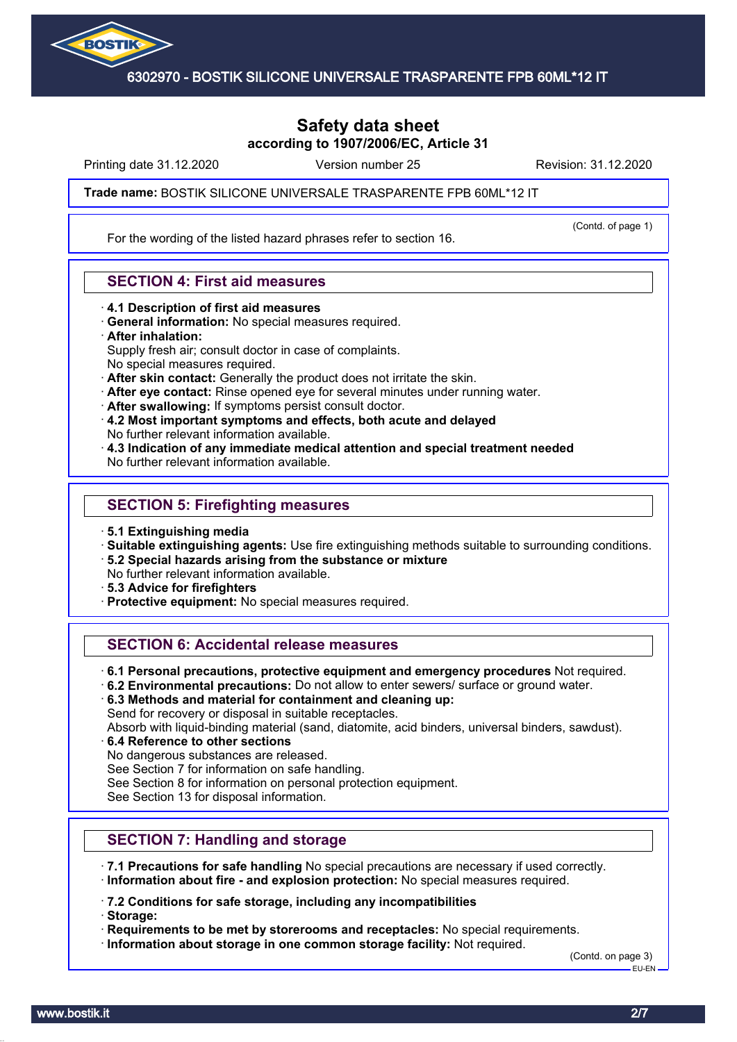

# **Safety data sheet according to 1907/2006/EC, Article 31**

Printing date 31.12.2020 **Revision: 31.12.2020** Version number 25 Revision: 31.12.2020

(Contd. of page 1)

#### **Trade name: Silicone Universal** BOSTIK SILICONE UNIVERSALE TRASPARENTE FPB 60ML\*12 IT

For the wording of the listed hazard phrases refer to section 16.

### **SECTION 4: First aid measures**

- · **4.1 Description of first aid measures**
- · **General information:** No special measures required.
- · **After inhalation:**

Supply fresh air; consult doctor in case of complaints.

- No special measures required.
- · **After skin contact:** Generally the product does not irritate the skin.
- · **After eye contact:** Rinse opened eye for several minutes under running water.
- · **After swallowing:** If symptoms persist consult doctor.
- · **4.2 Most important symptoms and effects, both acute and delayed** No further relevant information available.
- · **4.3 Indication of any immediate medical attention and special treatment needed** No further relevant information available.

#### **SECTION 5: Firefighting measures**

- · **5.1 Extinguishing media**
- · **Suitable extinguishing agents:** Use fire extinguishing methods suitable to surrounding conditions.
- · **5.2 Special hazards arising from the substance or mixture**
- No further relevant information available.
- · **5.3 Advice for firefighters**
- · **Protective equipment:** No special measures required.

# **SECTION 6: Accidental release measures**

- · **6.1 Personal precautions, protective equipment and emergency procedures** Not required.
- · **6.2 Environmental precautions:** Do not allow to enter sewers/ surface or ground water.
- · **6.3 Methods and material for containment and cleaning up:**

Send for recovery or disposal in suitable receptacles.

Absorb with liquid-binding material (sand, diatomite, acid binders, universal binders, sawdust).

- · **6.4 Reference to other sections**
- No dangerous substances are released.

See Section 7 for information on safe handling.

See Section 8 for information on personal protection equipment.

See Section 13 for disposal information.

# **SECTION 7: Handling and storage**

- · **7.1 Precautions for safe handling** No special precautions are necessary if used correctly.
- · **Information about fire and explosion protection:** No special measures required.

· **7.2 Conditions for safe storage, including any incompatibilities**

· **Storage:**

· **Requirements to be met by storerooms and receptacles:** No special requirements.

· **Information about storage in one common storage facility:** Not required.

(Contd. on page 3) EU-EN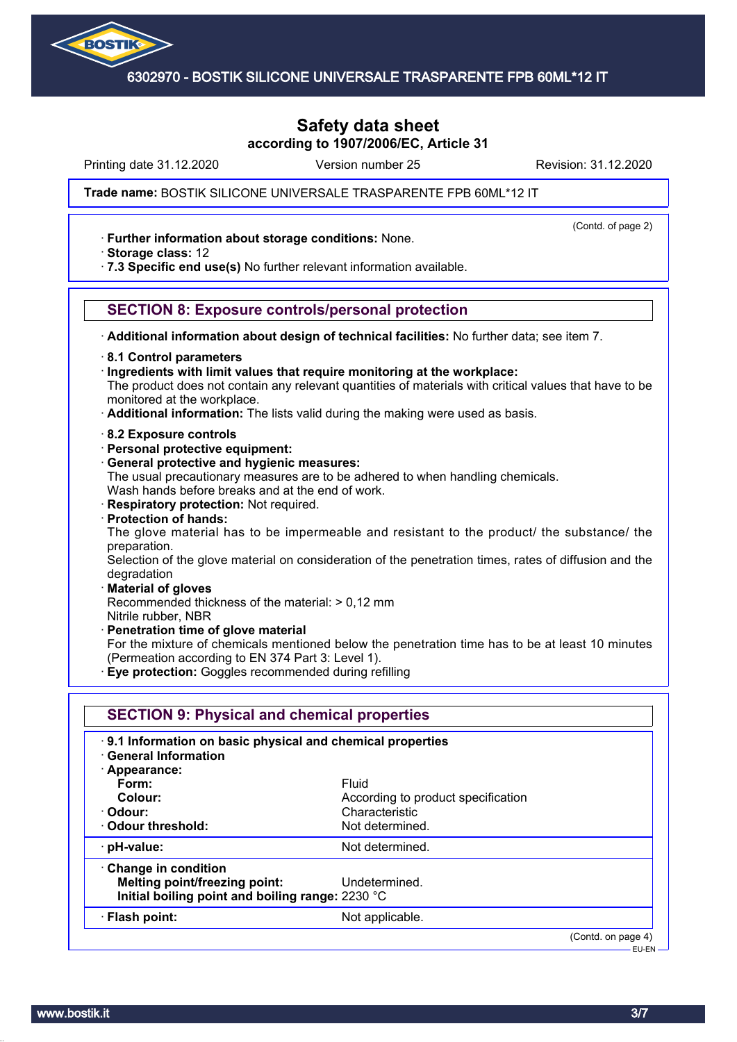

# **Safety data sheet according to 1907/2006/EC, Article 31**

Printing date 31.12.2020 **Revision: 31.12.2020** Version number 25 Revision: 31.12.2020

(Contd. of page 2)

#### **Trade name: Silicone Universal** BOSTIK SILICONE UNIVERSALE TRASPARENTE FPB 60ML\*12 IT

· **Further information about storage conditions:** None.

· **Storage class:** 12

· **7.3 Specific end use(s)** No further relevant information available.

### **SECTION 8: Exposure controls/personal protection**

· **Additional information about design of technical facilities:** No further data; see item 7.

· **8.1 Control parameters**

· **Ingredients with limit values that require monitoring at the workplace:**

The product does not contain any relevant quantities of materials with critical values that have to be monitored at the workplace.

- · **Additional information:** The lists valid during the making were used as basis.
- · **8.2 Exposure controls**
- · **Personal protective equipment:**
- · **General protective and hygienic measures:**

The usual precautionary measures are to be adhered to when handling chemicals. Wash hands before breaks and at the end of work.

· **Respiratory protection:** Not required.

· **Protection of hands:**

The glove material has to be impermeable and resistant to the product/ the substance/ the preparation.

Selection of the glove material on consideration of the penetration times, rates of diffusion and the degradation

#### · **Material of gloves**

Recommended thickness of the material: > 0,12 mm

Nitrile rubber, NBR

- · **Penetration time of glove material**
- For the mixture of chemicals mentioned below the penetration time has to be at least 10 minutes (Permeation according to EN 374 Part 3: Level 1).
- · **Eye protection:** Goggles recommended during refilling

| 9.1 Information on basic physical and chemical properties<br><b>General Information</b> |                                    |  |
|-----------------------------------------------------------------------------------------|------------------------------------|--|
| · Appearance:                                                                           |                                    |  |
| Form:                                                                                   | Fluid                              |  |
| Colour:                                                                                 | According to product specification |  |
| · Odour:                                                                                | Characteristic                     |  |
| Odour threshold:                                                                        | Not determined.                    |  |
| $\cdot$ pH-value:                                                                       | Not determined.                    |  |
| Change in condition                                                                     |                                    |  |
| Melting point/freezing point:                                                           | Undetermined.                      |  |
| Initial boiling point and boiling range: 2230 °C                                        |                                    |  |
| · Flash point:                                                                          | Not applicable.                    |  |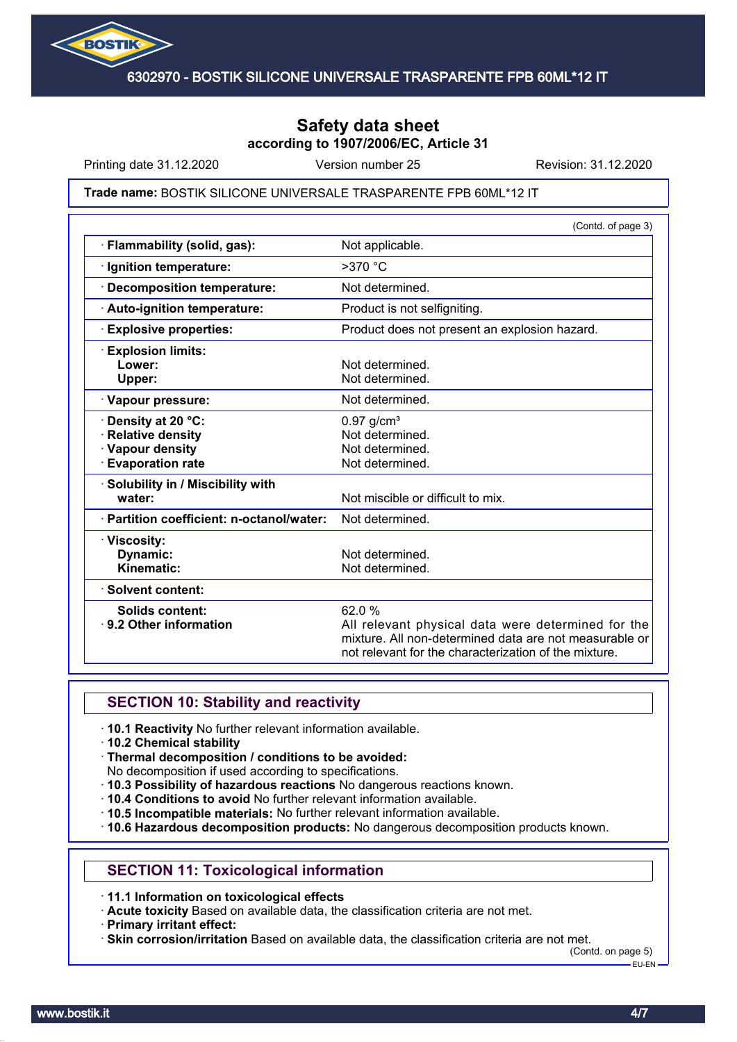

# **Safety data sheet according to 1907/2006/EC, Article 31**

Printing date 31.12.2020 **Revision: 31.12.2020** Version number 25 Revision: 31.12.2020

#### **Trade name: Silicone Universal** BOSTIK SILICONE UNIVERSALE TRASPARENTE FPB 60ML\*12 IT

|                                                                                                 | (Contd. of page 3)                                                                                                                                                              |
|-------------------------------------------------------------------------------------------------|---------------------------------------------------------------------------------------------------------------------------------------------------------------------------------|
| · Flammability (solid, gas):                                                                    | Not applicable.                                                                                                                                                                 |
| · Ignition temperature:                                                                         | $>370$ °C                                                                                                                                                                       |
| · Decomposition temperature:                                                                    | Not determined.                                                                                                                                                                 |
| · Auto-ignition temperature:                                                                    | Product is not selfigniting.                                                                                                                                                    |
| <b>Explosive properties:</b>                                                                    | Product does not present an explosion hazard.                                                                                                                                   |
| <b>Explosion limits:</b><br>Lower:<br>Upper:                                                    | Not determined.<br>Not determined.                                                                                                                                              |
| · Vapour pressure:                                                                              | Not determined.                                                                                                                                                                 |
| <b>· Density at 20 °C:</b><br>· Relative density<br>· Vapour density<br><b>Evaporation rate</b> | $0.97$ g/cm <sup>3</sup><br>Not determined.<br>Not determined.<br>Not determined.                                                                                               |
| · Solubility in / Miscibility with<br>water:                                                    | Not miscible or difficult to mix.                                                                                                                                               |
| · Partition coefficient: n-octanol/water:                                                       | Not determined.                                                                                                                                                                 |
| · Viscosity:<br>Dynamic:<br>Kinematic:                                                          | Not determined.<br>Not determined.                                                                                                                                              |
| · Solvent content:                                                                              |                                                                                                                                                                                 |
| Solids content:<br>⋅ 9.2 Other information                                                      | 62.0 %<br>All relevant physical data were determined for the<br>mixture. All non-determined data are not measurable or<br>not relevant for the characterization of the mixture. |

# **SECTION 10: Stability and reactivity**

- · **10.1 Reactivity** No further relevant information available.
- · **10.2 Chemical stability**
- · **Thermal decomposition / conditions to be avoided:**
- No decomposition if used according to specifications.
- · **10.3 Possibility of hazardous reactions** No dangerous reactions known.
- · **10.4 Conditions to avoid** No further relevant information available.
- · **10.5 Incompatible materials:** No further relevant information available.
- · **10.6 Hazardous decomposition products:** No dangerous decomposition products known.

#### **SECTION 11: Toxicological information**

· **11.1 Information on toxicological effects**

· **Acute toxicity** Based on available data, the classification criteria are not met.

· **Primary irritant effect:**

· **Skin corrosion/irritation** Based on available data, the classification criteria are not met.

(Contd. on page 5) EU-EN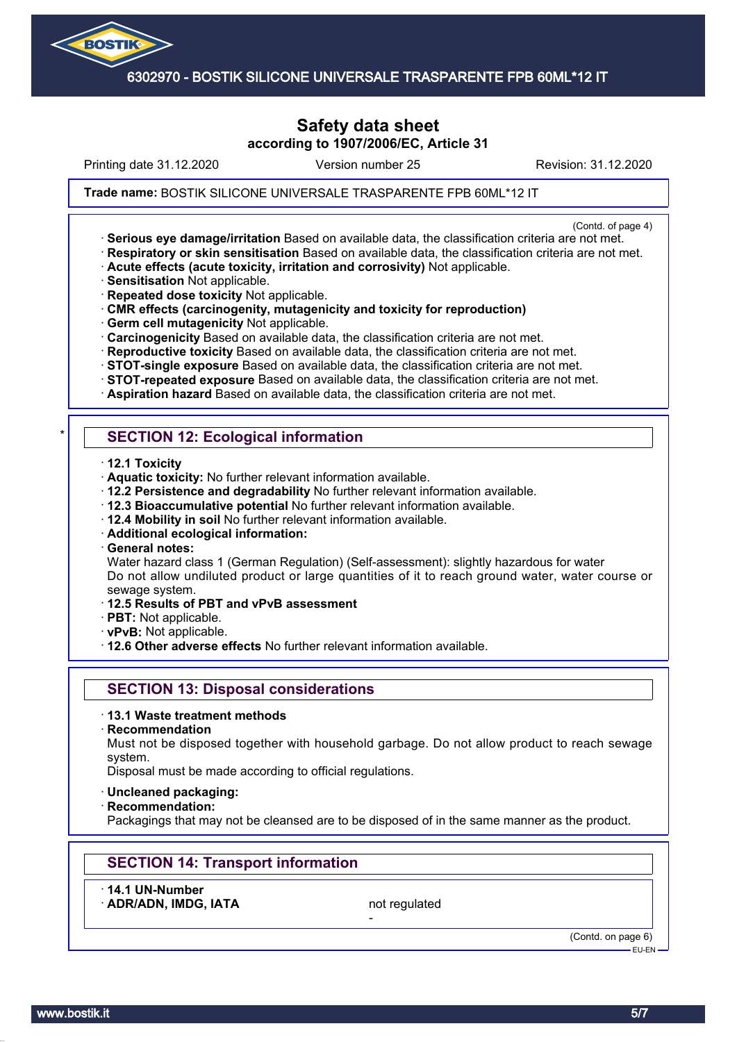

# **Safety data sheet according to 1907/2006/EC, Article 31**

Printing date 31.12.2020 **Revision: 31.12.2020** Version number 25 Revision: 31.12.2020

#### **Trade name: Silicone Universal** BOSTIK SILICONE UNIVERSALE TRASPARENTE FPB 60ML\*12 IT

(Contd. of page 4)

- · **Serious eye damage/irritation** Based on available data, the classification criteria are not met. · **Respiratory or skin sensitisation** Based on available data, the classification criteria are not met.
- · **Acute effects (acute toxicity, irritation and corrosivity)** Not applicable.
- · **Sensitisation** Not applicable.
- · **Repeated dose toxicity** Not applicable.
- · **CMR effects (carcinogenity, mutagenicity and toxicity for reproduction)**
- · **Germ cell mutagenicity** Not applicable.
- · **Carcinogenicity** Based on available data, the classification criteria are not met.
- · **Reproductive toxicity** Based on available data, the classification criteria are not met.
- · **STOT-single exposure** Based on available data, the classification criteria are not met.
- · **STOT-repeated exposure** Based on available data, the classification criteria are not met.
- · **Aspiration hazard** Based on available data, the classification criteria are not met.

# **SECTION 12: Ecological information**

- · **12.1 Toxicity**
- · **Aquatic toxicity:** No further relevant information available.
- · **12.2 Persistence and degradability** No further relevant information available.
- · **12.3 Bioaccumulative potential** No further relevant information available.
- · **12.4 Mobility in soil** No further relevant information available.
- · **Additional ecological information:**
- · **General notes:**

Water hazard class 1 (German Regulation) (Self-assessment): slightly hazardous for water Do not allow undiluted product or large quantities of it to reach ground water, water course or sewage system.

- · **12.5 Results of PBT and vPvB assessment**
- · **PBT:** Not applicable.
- · **vPvB:** Not applicable.
- · **12.6 Other adverse effects** No further relevant information available.

# **SECTION 13: Disposal considerations**

- · **13.1 Waste treatment methods**
- · **Recommendation**

Must not be disposed together with household garbage. Do not allow product to reach sewage system.

Disposal must be made according to official regulations.

- · **Uncleaned packaging:**
- · **Recommendation:**

Packagings that may not be cleansed are to be disposed of in the same manner as the product.

# **SECTION 14: Transport information**

- · **14.1 UN-Number**
- ADR/ADN, IMDG, IATA not regulated

-

(Contd. on page 6) EU-EN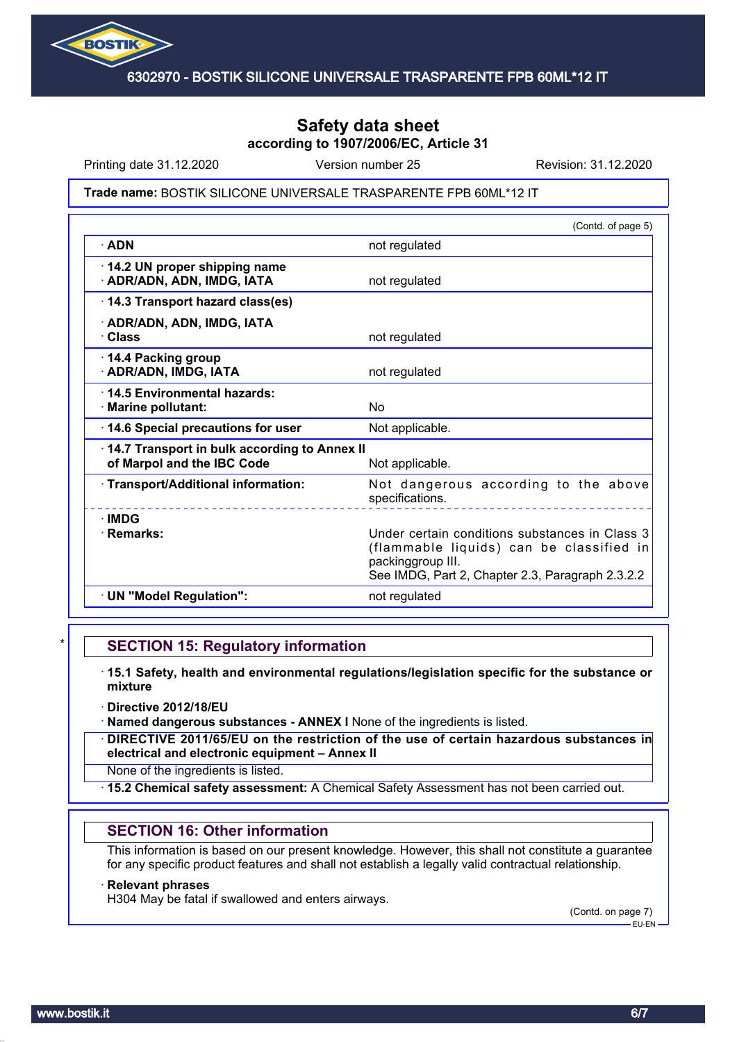

# **Safety data sheet according to 1907/2006/EC, Article 31**

Printing date 31.12.2020 **Revision: 31.12.2020** Version number 25 Revision: 31.12.2020

#### **Trade name: Silicone Universal** BOSTIK SILICONE UNIVERSALE TRASPARENTE FPB 60ML\*12 IT

|                                                                            | (Contd. of page 5)                                                                                                                                                  |
|----------------------------------------------------------------------------|---------------------------------------------------------------------------------------------------------------------------------------------------------------------|
| $\cdot$ ADN                                                                | not regulated                                                                                                                                                       |
| 14.2 UN proper shipping name<br>· ADR/ADN, ADN, IMDG, IATA                 | not regulated                                                                                                                                                       |
| 14.3 Transport hazard class(es)                                            |                                                                                                                                                                     |
| · ADR/ADN, ADN, IMDG, IATA<br>· Class                                      | not regulated                                                                                                                                                       |
| 14.4 Packing group<br>· ADR/ADN, IMDG, IATA                                | not regulated                                                                                                                                                       |
| 14.5 Environmental hazards:<br>· Marine pollutant:                         | No                                                                                                                                                                  |
| 14.6 Special precautions for user                                          | Not applicable.                                                                                                                                                     |
| 14.7 Transport in bulk according to Annex II<br>of Marpol and the IBC Code | Not applicable.                                                                                                                                                     |
| · Transport/Additional information:                                        | Not dangerous according to the above<br>specifications.                                                                                                             |
| $\cdot$ IMDG<br>· Remarks:                                                 | Under certain conditions substances in Class 3<br>(flammable liquids) can be classified in<br>packinggroup III.<br>See IMDG, Part 2, Chapter 2.3, Paragraph 2.3.2.2 |
| · UN "Model Regulation":                                                   | not regulated                                                                                                                                                       |

### **SECTION 15: Regulatory information**

- · **15.1 Safety, health and environmental regulations/legislation specific for the substance or mixture**
- · **Directive 2012/18/EU**
- · **Named dangerous substances ANNEX I** None of the ingredients is listed.
- · **DIRECTIVE 2011/65/EU on the restriction of the use of certain hazardous substances in electrical and electronic equipment – Annex II**
- None of the ingredients is listed.
- · **15.2 Chemical safety assessment:** A Chemical Safety Assessment has not been carried out.

#### **SECTION 16: Other information**

This information is based on our present knowledge. However, this shall not constitute a guarantee for any specific product features and shall not establish a legally valid contractual relationship.

#### · **Relevant phrases**

H304 May be fatal if swallowed and enters airways.

(Contd. on page 7) EU-EN